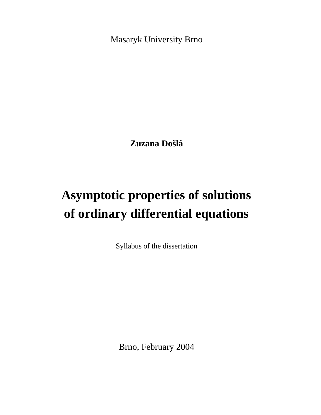Masaryk University Brno

**Zuzana** Došlá

# **Asymptotic properties of solutions of ordinary differential equations**

Syllabus of the dissertation

Brno, February 2004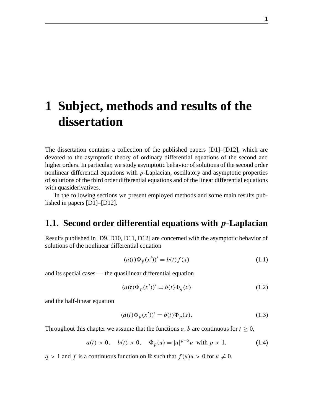## **1 Subject, methods and results of the dissertation**

The dissertation contains a collection of the published papers [D1]–[D12], which are devoted to the asymptotic theory of ordinary differential equations of the second and higher orders. In particular, we study asymptotic behavior of solutions of the second order nonlinear differential equations with  $p$ -Laplacian, oscillatory and asymptotic properties of solutions of the third order differential equations and of the linear differential equations with quasiderivatives.

In the following sections we present employed methods and some main results published in papers [D1]–[D12].

## **1.1. Second order differential equations with** p**-Laplacian**

Results published in [D9, D10, D11, D12] are concerned with the asymptotic behavior of solutions of the nonlinear differential equation

$$
(a(t)\Phi_p(x'))' = b(t)f(x)
$$
 (1.1)

and its special cases — the quasilinear differential equation

$$
(a(t)\Phi_p(x'))' = b(t)\Phi_q(x)
$$
\n(1.2)

and the half-linear equation

$$
(a(t)\Phi_p(x'))' = b(t)\Phi_p(x).
$$
 (1.3)

Throughout this chapter we assume that the functions a, b are continuous for  $t \geq 0$ ,

$$
a(t) > 0
$$
,  $b(t) > 0$ ,  $\Phi_p(u) = |u|^{p-2}u$  with  $p > 1$ , (1.4)

 $q > 1$  and f is a continuous function on R such that  $f(u)u > 0$  for  $u \neq 0$ .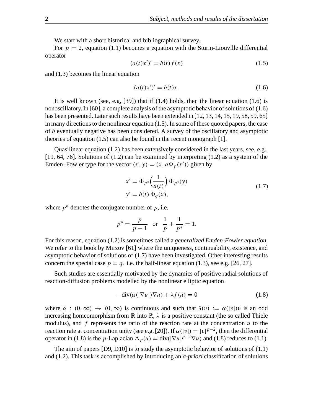We start with a short historical and bibliographical survey.

For  $p = 2$ , equation (1.1) becomes a equation with the Sturm-Liouville differential operator

$$
(a(t)x')' = b(t)f(x)
$$
 (1.5)

and (1.3) becomes the linear equation

$$
(a(t)x')' = b(t)x.
$$
\n
$$
(1.6)
$$

It is well known (see, e.g,  $[39]$ ) that if  $(1.4)$  holds, then the linear equation  $(1.6)$  is nonoscillatory. In [60], a complete analysis of the asymptotic behavior of solutions of  $(1.6)$ has been presented. Later such results have been extended in  $[12, 13, 14, 15, 19, 58, 59, 65]$ in many directions to the nonlinear equation  $(1.5)$ . In some of these quoted papers, the case of b eventually negative has been considered. A survey of the oscillatory and asymptotic theories of equation (1.5) can also be found in the recent monograph [1].

Quasilinear equation (1.2) has been extensively considered in the last years, see, e.g., [19, 64, 76]. Solutions of (1.2) can be examined by interpreting (1.2) as a system of the Emden–Fowler type for the vector  $(x, y) = (x, a\Phi_p(x'))$  given by

$$
x' = \Phi_{p^*} \left(\frac{1}{a(t)}\right) \Phi_{p^*}(y)
$$
  
\n
$$
y' = b(t) \Phi_q(x),
$$
\n(1.7)

where  $p^*$  denotes the conjugate number of  $p$ , i.e.

$$
p^* = \frac{p}{p-1}
$$
 or  $\frac{1}{p} + \frac{1}{p^*} = 1$ .

For this reason, equation (1.2) is sometimes called a *generalized Emden-Fowler equation*. We refer to the book by Mirzov [61] where the uniqueness, continuability, existence, and asymptotic behavior of solutions of (1.7) have been investigated. Other interesting results concern the special case  $p = q$ , i.e. the half-linear equation (1.3), see e.g. [26, 27].

Such studies are essentially motivated by the dynamics of positive radial solutions of reaction-diffusion problems modelled by the nonlinear elliptic equation

$$
- \operatorname{div}(\alpha(|\nabla u|)\nabla u) + \lambda f(u) = 0 \tag{1.8}
$$

where  $\alpha$  :  $(0, \infty) \rightarrow (0, \infty)$  is continuous and such that  $\delta(v) := \alpha(|v|)v$  is an odd increasing homeomorphism from  $\mathbb R$  into  $\mathbb R$ ,  $\lambda$  is a positive constant (the so called Thiele modulus), and  $f$  represents the ratio of the reaction rate at the concentration  $u$  to the reaction rate at concentration unity (see e.g. [20]). If  $\alpha(|v|) = |v|^{p-2}$ , then the differential operator in (1.8) is the *p*-Laplacian  $\Delta_p(u) = \text{div}(|\nabla u|^{p-2}\nabla u)$  and (1.8) reduces to (1.1).

The aim of papers [D9, D10] is to study the asymptotic behavior of solutions of (1.1) and (1.2). This task is accomplished by introducing an *a-priori* classification of solutions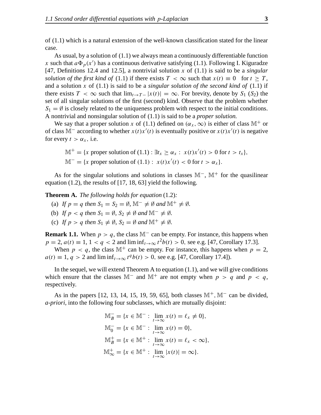of (1.1) which is a natural extension of the well-known classification stated for the linear case.

As usual, by a solution of (1.1) we always mean a continuously differentiable function x such that  $a\Phi_p(x')$  has a continuous derivative satisfying (1.1). Following I. Kiguradze [47, Definitions 12.4 and 12.5], a nontrivial solution x of (1.1) is said to be a *singular solution of the first kind of* (1.1) if there exists  $T < \infty$  such that  $x(t) \equiv 0$  for  $t \geq T$ , and a solution x of  $(1.1)$  is said to be a *singular solution of the second kind of*  $(1.1)$  if there exists  $T < \infty$  such that  $\lim_{t\to T-} |x(t)| = \infty$ . For brevity, denote by  $S_1(S_2)$  the set of all singular solutions of the first (second) kind. Observe that the problem whether  $S_1 = \emptyset$  is closely related to the uniqueness problem with respect to the initial conditions. A nontrivial and nonsingular solution of (1.1) is said to be a *proper solution.*

We say that a proper solution x of (1.1) defined on  $(\alpha_x, \infty)$  is either of class M<sup>+</sup> or of class M<sup>-</sup> according to whether  $x(t)x'(t)$  is eventually positive or  $x(t)x'(t)$  is negative for every  $t > \alpha_x$ , i.e.

$$
\mathbb{M}^+ = \{x \text{ proper solution of } (1.1) : \exists t_x \ge \alpha_x : x(t)x'(t) > 0 \text{ for } t > t_x \},\
$$
  

$$
\mathbb{M}^- = \{x \text{ proper solution of } (1.1) : x(t)x'(t) < 0 \text{ for } t > \alpha_x \}.
$$

As for the singular solutions and solutions in classes M−, M<sup>+</sup> for the quasilinear equation (1.2), the results of [17, 18, 63] yield the following.

**Theorem A.** *The following holds for equation* (1.2)*:*

- (a) If  $p = q$  then  $S_1 = S_2 = \emptyset$ ,  $\mathbb{M}^- \neq \emptyset$  and  $\mathbb{M}^+ \neq \emptyset$ .
- (b) If  $p < q$  then  $S_1 = \emptyset$ ,  $S_2 \neq \emptyset$  and  $\mathbb{M}^- \neq \emptyset$ .
- (c) If  $p > q$  then  $S_1 \neq \emptyset$ ,  $S_2 = \emptyset$  and  $\mathbb{M}^+ \neq \emptyset$ .

**Remark 1.1.** When  $p > q$ , the class M<sup>-</sup> can be empty. For instance, this happens when  $p = 2$ ,  $a(t) \equiv 1$ ,  $1 < q < 2$  and  $\liminf_{t \to \infty} t^2 b(t) > 0$ , see e.g. [47, Corollary 17.3]. When  $p \lt q$ , the class  $\mathbb{M}^+$  can be empty. For instance, this happens when  $p = 2$ ,  $a(t) \equiv 1, q > 2$  and  $\liminf_{t \to \infty} t^q b(t) > 0$ , see e.g. [47, Corollary 17.4]).

In the sequel, we will extend Theorem A to equation  $(1.1)$ , and we will give conditions which ensure that the classes M<sup>-</sup> and M<sup>+</sup> are not empty when  $p > q$  and  $p < q$ , respectively.

As in the papers [12, 13, 14, 15, 19, 59, 65], both classes M<sup>+</sup>, M<sup>−</sup> can be divided, *a-priori,* into the following four subclasses, which are mutually disjoint:

$$
\mathbb{M}_{B}^{-} = \{x \in \mathbb{M}^{-} : \lim_{t \to \infty} x(t) = \ell_{x} \neq 0\},\
$$
  

$$
\mathbb{M}_{0}^{-} = \{x \in \mathbb{M}^{-} : \lim_{t \to \infty} x(t) = 0\},\
$$
  

$$
\mathbb{M}_{B}^{+} = \{x \in \mathbb{M}^{+} : \lim_{t \to \infty} x(t) = \ell_{x} < \infty\},\
$$
  

$$
\mathbb{M}_{\infty}^{+} = \{x \in \mathbb{M}^{+} : \lim_{t \to \infty} |x(t)| = \infty\}.
$$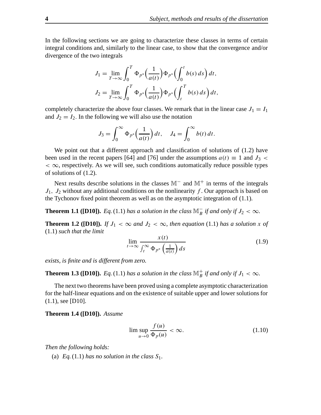In the following sections we are going to characterize these classes in terms of certain integral conditions and, similarly to the linear case, to show that the convergence and/or divergence of the two integrals

$$
J_1 = \lim_{T \to \infty} \int_0^T \Phi_{p^*} \left(\frac{1}{a(t)}\right) \Phi_{p^*} \left(\int_0^t b(s) \, ds\right) dt,
$$
  

$$
J_2 = \lim_{T \to \infty} \int_0^T \Phi_{p^*} \left(\frac{1}{a(t)}\right) \Phi_{p^*} \left(\int_t^T b(s) \, ds\right) dt,
$$

completely characterize the above four classes. We remark that in the linear case  $J_1 = I_1$ and  $J_2 = I_2$ . In the following we will also use the notation

$$
J_3 = \int_0^\infty \Phi_{p^*}\Big(\frac{1}{a(t)}\Big) dt, \quad J_4 = \int_0^\infty b(t) dt.
$$

We point out that a different approach and classification of solutions of  $(1.2)$  have been used in the recent papers [64] and [76] under the assumptions  $a(t) \equiv 1$  and  $J_3$  <  $< \infty$ , respectively. As we will see, such conditions automatically reduce possible types of solutions of (1.2).

Next results describe solutions in the classes M<sup>−</sup> and M<sup>+</sup> in terms of the integrals  $J_1$ ,  $J_2$  without any additional conditions on the nonlinearity f. Our approach is based on the Tychonov fixed point theorem as well as on the asymptotic integration of (1.1).

**Theorem 1.1 ([D10]).** *Eq.* (1.1) *has a solution in the class*  $\mathbb{M}_B^-$  *if and only if*  $J_2 < \infty$ *.* 

**Theorem 1.2** ([D10]). If  $J_1 < \infty$  and  $J_2 < \infty$ , then equation (1.1) has a solution x of (1.1) *such that the limit*

$$
\lim_{t \to \infty} \frac{x(t)}{\int_t^{\infty} \Phi_{p^*}\left(\frac{1}{a(s)}\right) ds}
$$
(1.9)

*exists, is finite and is different from zero.*

**Theorem 1.3** ([D10]). *Eq.* (1.1) *has a solution in the class*  $\mathbb{M}_{B}^{+}$  *if and only if*  $J_1 < \infty$ *.* 

The next two theorems have been proved using a complete asymptotic characterization for the half-linear equations and on the existence of suitable upper and lower solutionsfor (1.1), see [D10].

**Theorem 1.4 ([D10]).** *Assume*

$$
\limsup_{u \to 0} \frac{f(u)}{\Phi_p(u)} < \infty. \tag{1.10}
$$

*Then the following holds:*

(a) *Eq.*(1.1) *has no solution in the class*  $S_1$ *.*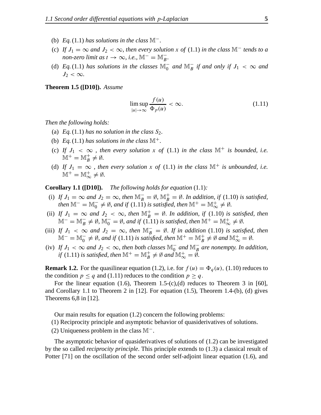- (b) *Eq.*(1.1) *has solutions in the class*  $\mathbb{M}^-$ .
- (c) If  $J_1 = \infty$  and  $J_2 < \infty$ , then every solution x of (1.1) in the class  $\mathbb{M}^-$  tends to a *non-zero limit as*  $t \to \infty$ *, i.e.*,  $\mathbb{M}^- = \mathbb{M}_B^-$ .
- (d) *Eq.*(1.1) *has solutions in the classes*  $\mathbb{M}_0^-$  *and*  $\mathbb{M}_B^-$  *if and only if*  $J_1 < \infty$  *and*  $J_2 < \infty$ .

**Theorem 1.5 ([D10]).** *Assume*

$$
\limsup_{|u| \to \infty} \frac{f(u)}{\Phi_p(u)} < \infty. \tag{1.11}
$$

*Then the following holds:*

- (a) *Eq.*(1.1) *has no solution in the class*  $S_2$ *.*
- (b) *Eq.*(1.1) *has solutions in the class*  $\mathbb{M}^+$ .
- (c) If  $J_1 < \infty$ , then every solution x of (1.1) in the class  $\mathbb{M}^+$  is bounded, i.e.  $M^+ = M_B^+ \neq \emptyset.$
- (d) If  $J_1 = \infty$ , then every solution x of (1.1) in the class  $\mathbb{M}^+$  *is unbounded, i.e.*  $M^+ = M^+_{\infty} \neq \emptyset.$

**Corollary 1.1 ([D10]).** *The following holds for equation* (1.1)*:*

- (i) *If*  $J_1 = \infty$  *and*  $J_2 = \infty$ *, then*  $\mathbb{M}_B^- = \emptyset$ *,*  $\mathbb{M}_B^+ = \emptyset$ *. In addition, if* (1.10) *is satisfied, then*  $\mathbb{M}^- = \mathbb{M}_0^- \neq \emptyset$ , and if (1.11) is satisfied, then  $\mathbb{M}^+ = \mathbb{M}_\infty^+ \neq \emptyset$ .
- (ii) If  $J_1 = \infty$  and  $J_2 < \infty$ , then  $\mathbb{M}_B^+ = \emptyset$ . In addition, if (1.10) is satisfied, then  $\mathbb{M}^- = \mathbb{M}_B^- \neq \emptyset$ ,  $\mathbb{M}_0^- = \emptyset$ , and if (1.11) is satisfied, then  $\mathbb{M}^+ = \mathbb{M}_{\infty}^+ \neq \emptyset$ .
- (iii) *If*  $J_1 < \infty$  and  $J_2 = \infty$ , then  $\mathbb{M}_B^- = \emptyset$ . *If* in addition (1.10) is satisfied, then  $\mathbb{M}^- = \mathbb{M}_0^- \neq \emptyset$ , and if (1.11) is satisfied, then  $\mathbb{M}^+ = \mathbb{M}_B^+ \neq \emptyset$  and  $\mathbb{M}_{\infty}^+ = \emptyset$ .
- (iv) If  $J_1 < \infty$  and  $J_2 < \infty$ , then both classes  $\mathbb{M}_0^-$  and  $\mathbb{M}_B^-$  are nonempty. In addition, *if* (1.11) *is satisfied, then*  $\mathbb{M}^+ = \mathbb{M}^+_B \neq \emptyset$  and  $\mathbb{M}^+_{\infty} = \emptyset$ .

**Remark 1.2.** For the quasilinear equation (1.2), i.e. for  $f(u) = \Phi_q(u)$ , (1.10) reduces to the condition  $p \leq q$  and (1.11) reduces to the condition  $p \geq q$ .

For the linear equation (1.6), Theorem 1.5-(c),(d) reduces to Theorem 3 in [60], and Corollary 1.1 to Theorem 2 in [12]. For equation (1.5), Theorem 1.4-(b), (d) gives Theorems 6,8 in [12].

Our main results for equation (1.2) concern the following problems:

(1) Reciprocity principle and asymptotic behavior of quasiderivatives of solutions.

(2) Uniqueness problem in the class M−.

The asymptotic behavior of quasiderivatives of solutions of (1.2) can be investigated by the so called *reciprocity principle*. This principle extends to (1.3) a classical result of Potter [71] on the oscillation of the second order self-adjoint linear equation (1.6), and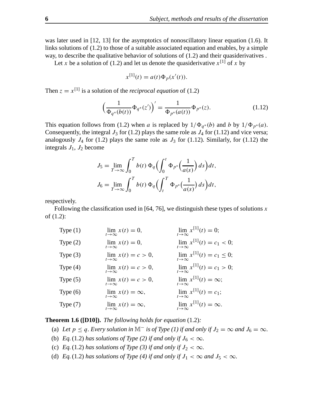was later used in [12, 13] for the asymptotics of nonoscillatory linear equation (1.6). It links solutions of (1.2) to those of a suitable associated equation and enables, by a simple way, to describe the qualitative behavior of solutions of (1.2) and their quasiderivatives .

Let x be a solution of (1.2) and let us denote the quasiderivative  $x^{[1]}$  of x by

$$
x^{[1]}(t) = a(t)\Phi_p(x'(t)).
$$

Then  $z = x^{[1]}$  is a solution of the *reciprocal equation* of (1.2)

$$
\left(\frac{1}{\Phi_{q^*}(b(t))}\Phi_{q^*}(z')\right)' = \frac{1}{\Phi_{p^*}(a(t))}\Phi_{p^*}(z). \tag{1.12}
$$

This equation follows from (1.2) when a is replaced by  $1/\Phi_{q^*}(b)$  and b by  $1/\Phi_{p^*}(a)$ . Consequently, the integral  $J_3$  for (1.2) plays the same role as  $J_4$  for (1.12) and vice versa; analogously  $J_4$  for (1.2) plays the same role as  $J_3$  for (1.12). Similarly, for (1.12) the integrals  $J_1$ ,  $J_2$  become

$$
J_5 = \lim_{T \to \infty} \int_0^T b(t) \Phi_q \left( \int_0^t \Phi_{p^*} \left( \frac{1}{a(s)} \right) ds \right) dt,
$$
  

$$
J_6 = \lim_{T \to \infty} \int_0^T b(t) \Phi_q \left( \int_t^T \Phi_{p^*} \left( \frac{1}{a(s)} \right) ds \right) dt,
$$

respectively.

Following the classification used in [64, 76], we distinguish these types of solutions x of (1.2):

Type  $(1)$  $\lim_{t\to\infty} x(t) = 0,$   $\lim_{t\to\infty}$  $\lim_{t \to \infty} x^{[1]}(t) = 0;$ Type  $(2)$  $\lim_{t\to\infty} x(t) = 0,$   $\lim_{t\to\infty}$  $\lim_{t \to \infty} x^{[1]}(t) = c_1 < 0;$ Type  $(3)$  $\lim_{t\to\infty} x(t) = c > 0,$   $\lim_{t\to\infty}$  $\lim_{t \to \infty} x^{[1]}(t) = c_1 \le 0;$ Type  $(4)$  $\lim_{t\to\infty} x(t) = c > 0,$   $\lim_{t\to\infty}$  $\lim_{t \to \infty} x^{[1]}(t) = c_1 > 0;$ Type  $(5)$  $\lim_{t\to\infty} x(t) = c > 0,$   $\lim_{t\to\infty}$  $\lim_{t\to\infty} x^{[1]}(t) = \infty;$ Type  $(6)$  $\lim_{t\to\infty} x(t) = \infty,$   $\lim_{t\to\infty}$  $\lim_{t \to \infty} x^{[1]}(t) = c_1;$ Type  $(7)$  $\lim_{t\to\infty} x(t) = \infty,$   $\lim_{t\to\infty}$  $\lim_{t\to\infty} x^{[1]}(t) = \infty.$ 

**Theorem 1.6 ([D10]).** *The following holds for equation* (1.2)*:*

- (a) Let  $p \le q$ . Every solution in  $\mathbb{M}^-$  is of Type (1) if and only if  $J_2 = \infty$  and  $J_6 = \infty$ .
- (b) *Eq.*(1.2) *has solutions of Type* (2) *if and only if*  $J_6 < \infty$ *.*
- (c) *Eq.*(1.2) *has solutions of Type* (3) *if and only if*  $J_2 < \infty$ *.*
- (d) *Eq.*(1.2) *has solutions of Type* (4) *if and only if*  $J_1 < \infty$  *and*  $J_5 < \infty$ *.*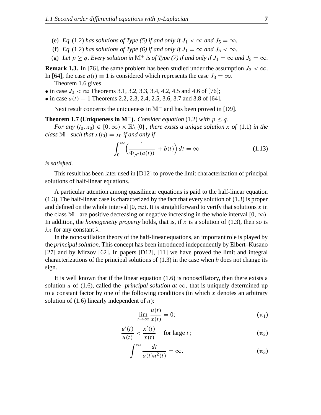- (e) *Eq.*(1.2) *has solutions of Type* (5) *if and only if*  $J_1 < \infty$  *and*  $J_5 = \infty$ *.*
- (f) *Eq.*(1.2) *has solutions of Type* (6) *if and only if*  $J_1 = \infty$  *and*  $J_5 < \infty$ *.*
- (g) Let  $p \ge q$ . Every solution in  $\mathbb{M}^+$  is of Type (7) if and only if  $J_1 = \infty$  and  $J_5 = \infty$ .

**Remark 1.3.** In [76], the same problem has been studied under the assumption  $J_3 < \infty$ . In [64], the case  $a(t) \equiv 1$  is considered which represents the case  $J_3 = \infty$ .

- Theorem 1.6 gives
- in case  $J_3 < \infty$  Theorems 3.1, 3.2, 3.3, 3.4, 4.2, 4.5 and 4.6 of [76];
- in case  $a(t) \equiv 1$  Theorems 2.2, 2.3, 2.4, 2.5, 3.6, 3.7 and 3.8 of [64].

Next result concerns the uniqueness in M<sup>−</sup> and has been proved in [D9].

### **Theorem 1.7 (Uniqueness in M<sup>−</sup>).** *Consider equation* (1.2) *with*  $p \leq q$ .

*For* any  $(t_0, x_0) \in [0, \infty) \times \mathbb{R} \setminus \{0\}$ , there exists a unique solution x of (1.1) in the *class*  $M^-$  *such that*  $x(t_0) = x_0$  *if and only if* 

$$
\int_0^\infty \left(\frac{1}{\Phi_{p^*}(a(t))} + b(t)\right) dt = \infty \tag{1.13}
$$

### *is satisfied.*

This result has been later used in [D12] to prove the limit characterization of principal solutions of half-linear equations.

A particular attention among quasilinear equations is paid to the half-linear equation (1.3). The half-linear case is characterized by the fact that every solution of (1.3) is proper and defined on the whole interval [0,  $\infty$ ). It is straightforward to verify that solutions x in the class M<sup>-</sup> are positive decreasing or negative increasing in the whole interval [0,  $\infty$ ). In addition, the *homogeneity property* holds, that is, if x is a solution of (1.3), then so is  $λx$  for any constant  $λ$ .

In the nonoscillation theory of the half-linear equations, an important role is played by the *principal solution*. This concept has been introduced independently by Elbert–Kusano [27] and by Mirzov [62]. In papers [D12], [11] we have proved the limit and integral characterizations of the principal solutions of  $(1.3)$  in the case when b does not change its sign.

It is well known that if the linear equation (1.6) is nonoscillatory, then there exists a solution u of (1.6), called the *principal solution* at  $\infty$ , that is uniquely determined up to a constant factor by one of the following conditions (in which  $x$  denotes an arbitrary solution of  $(1.6)$  linearly independent of  $u$ ):

$$
\lim_{t \to \infty} \frac{u(t)}{x(t)} = 0; \tag{1}
$$

$$
\frac{u'(t)}{u(t)} < \frac{x'(t)}{x(t)} \quad \text{for large } t \, ; \tag{12}
$$

$$
\int^{\infty} \frac{dt}{a(t)u^2(t)} = \infty.
$$
 (π<sub>3</sub>)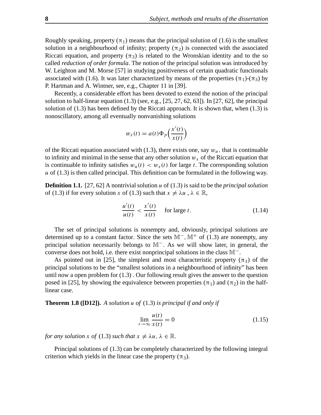Roughly speaking, property  $(\pi_1)$  means that the principal solution of (1.6) is the smallest solution in a neighbourhood of infinity; property  $(\pi_2)$  is connected with the associated Riccati equation, and property  $(\pi_3)$  is related to the Wronskian identity and to the so called *reduction of order formula*. The notion of the principal solution was introduced by W. Leighton and M. Morse [57] in studying positiveness of certain quadratic functionals associated with (1.6). It was later characterized by means of the properties  $(\pi_1)$ - $(\pi_3)$  by P. Hartman and A. Wintner, see, e.g., Chapter 11 in [39].

Recently, a considerable effort has been devoted to extend the notion of the principal solution to half-linear equation  $(1.3)$  (see, e.g.,  $[25, 27, 62, 63]$ ). In  $[27, 62]$ , the principal solution of  $(1.3)$  has been defined by the Riccati approach. It is shown that, when  $(1.3)$  is nonoscillatory, among all eventually nonvanishing solutions

$$
w_x(t) = a(t)\Phi_p\left(\frac{x'(t)}{x(t)}\right)
$$

of the Riccati equation associated with (1.3), there exists one, say  $w<sub>u</sub>$ , that is continuable to infinity and minimal in the sense that any other solution  $w<sub>x</sub>$  of the Riccati equation that is continuable to infinity satisfies  $w_u(t) < w_x(t)$  for large t. The corresponding solution  $u$  of (1.3) is then called principal. This definition can be formulated in the following way.

**Definition 1.1.** [27, 62] A nontrivial solution u of (1.3) is said to be the *principal solution* of (1.3) if for every solution x of (1.3) such that  $x \neq \lambda u$ ,  $\lambda \in \mathbb{R}$ ,

$$
\frac{u'(t)}{u(t)} < \frac{x'(t)}{x(t)} \quad \text{for large } t. \tag{1.14}
$$

The set of principal solutions is nonempty and, obviously, principal solutions are determined up to a constant factor. Since the sets  $M^-$ ,  $M^+$  of (1.3) are nonempty, any principal solution necessarily belongs to M−. As we will show later, in general, the converse does not hold, i.e. there exist nonprincipal solutions in the class M−.

As pointed out in [25], the simplest and most characteristic property  $(\pi_1)$  of the principal solutions to be the "smallest solutions in a neighbourhood of infinity" has been until now a open problem for (1.3) . Our following result gives the answer to the question posed in [25], by showing the equivalence between properties ( $\pi_1$ ) and ( $\pi_2$ ) in the halflinear case.

**Theorem 1.8 ([D12]).** *A solution* u *of* (1.3) *is principal if and only if*

$$
\lim_{t \to \infty} \frac{u(t)}{x(t)} = 0 \tag{1.15}
$$

*for any solution* x *of* (1.3) *such that*  $x \neq \lambda u$ ,  $\lambda \in \mathbb{R}$ .

Principal solutions of (1.3) can be completely characterized by the following integral criterion which yields in the linear case the property  $(\pi_3)$ .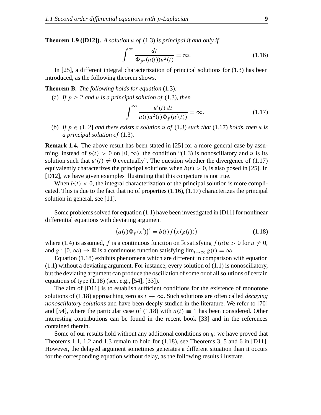**Theorem 1.9 ([D12]).** *A solution* u *of* (1.3) *is principal if and only if*

$$
\int^{\infty} \frac{dt}{\Phi_{p^*}(a(t))u^2(t)} = \infty.
$$
\n(1.16)

In [25], a different integral characterization of principal solutions for (1.3) has been introduced, as the following theorem shows.

**Theorem B.** *The following holds for equation* (1.3)*:*

(a) If  $p \geq 2$  *and u is a principal solution of* (1.3)*, then* 

$$
\int^{\infty} \frac{u'(t) dt}{a(t)u^2(t)\Phi_p(u'(t))} = \infty.
$$
 (1.17)

(b) If  $p \in (1, 2]$  *and there exists a solution u of*  $(1.3)$  *such that*  $(1.17)$  *holds, then u is a principal solution of* (1.3)*.*

**Remark 1.4.** The above result has been stated in [25] for a more general case by assuming, instead of  $b(t) > 0$  on  $[0, \infty)$ , the condition "(1.3) is nonoscillatory and u is its solution such that  $u'(t) \neq 0$  eventually". The question whether the divergence of (1.17) equivalently characterizes the principal solutions when  $b(t) > 0$ , is also posed in [25]. In [D12], we have given examples illustrating that this conjecture is not true.

When  $b(t) < 0$ , the integral characterization of the principal solution is more complicated. This is due to the fact that no of properties  $(1.16)$ ,  $(1.17)$  characterizes the principal solution in general, see [11].

Some problems solved for equation  $(1.1)$  have been investigated in [D11] for nonlinear differential equations with deviating argument

$$
(a(t)\Phi_p(x'))' = b(t)f(x(g(t)))
$$
\n(1.18)

where (1.4) is assumed, f is a continuous function on R satisfying  $f(u)u > 0$  for  $u \neq 0$ , and  $g : [0, \infty) \to \mathbb{R}$  is a continuous function satisfying  $\lim_{t \to \infty} g(t) = \infty$ .

Equation (1.18) exhibits phenomena which are different in comparison with equation (1.1) without a deviating argument. For instance, every solution of (1.1) is nonoscillatory, but the deviating argument can produce the oscillation of some or of all solutions of certain equations of type (1.18) (see, e.g., [54], [33]).

The aim of [D11] is to establish sufficient conditions for the existence of monotone solutions of (1.18) approaching zero as  $t \to \infty$ . Such solutions are often called *decaying nonoscillatory solutions* and have been deeply studied in the literature. We refer to [70] and [54], where the particular case of (1.18) with  $a(t) \equiv 1$  has been considered. Other interesting contributions can be found in the recent book [33] and in the references contained therein.

Some of our results hold without any additional conditions on  $g$ : we have proved that Theorems 1.1, 1.2 and 1.3 remain to hold for (1.18), see Theorems 3, 5 and 6 in [D11]. However, the delayed argument sometimes generates a different situation than it occurs for the corresponding equation without delay, as the following results illustrate.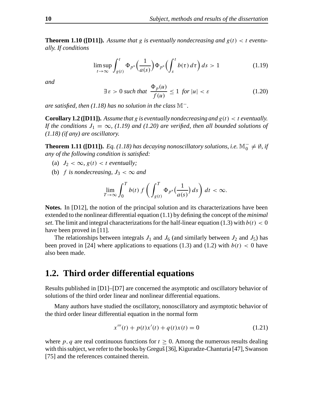**Theorem 1.10 ([D11]).** Assume that g is eventually nondecreasing and  $g(t) < t$  eventu*ally. If conditions*

$$
\limsup_{t \to \infty} \int_{g(t)}^t \Phi_{p^*}\Big(\frac{1}{a(s)}\Big) \Phi_{p^*}\Big(\int_s^t b(\tau) d\tau\Big) ds > 1
$$
\n(1.19)

*and*

$$
\exists \varepsilon > 0 \text{ such that } \frac{\Phi_p(u)}{f(u)} \le 1 \text{ for } |u| < \varepsilon \tag{1.20}
$$

*are satisfied, then (1.18) has no solution in the class* M−*.*

**Corollary 1.2** ([D11]). Assume that g is eventually nondecreasing and  $g(t) < t$  eventually. *If the conditions*  $J_1 = \infty$ *, (1.19) and* (1.20) *are verified, then all bounded solutions of (1.18) (if any) are oscillatory.*

**Theorem 1.11 ([D11]).** *Eq.* (1.18) has decaying nonoscillatory solutions, i.e.  $\mathbb{M}_0^- \neq \emptyset$ , if *any of the following condition is satisfied:*

- (a)  $J_2 < \infty$ ,  $g(t) < t$  *eventually*;
- (b) f is nondecreasing,  $J_3 < \infty$  and

$$
\lim_{T\to\infty}\int_0^T b(t)\,f\left(\int_{g(t)}^T \Phi_{p^*}\big(\frac{1}{a(s)}\big)\,ds\right)\,dt\,<\infty.
$$

**Notes.** In [D12], the notion of the principal solution and its characterizations have been extended to the nonlinear differential equation (1.1) by defining the concept of the *minimal set*. The limit and integral characterizations for the half-linear equation (1.3) with  $b(t) < 0$ have been proved in [11].

The relationships between integrals  $J_1$  and  $J_6$  (and similarly between  $J_2$  and  $J_5$ ) has been proved in [24] where applications to equations (1.3) and (1.2) with  $b(t) < 0$  have also been made.

## **1.2. Third order differential equations**

Results published in [D1]–[D7] are concerned the asymptotic and oscillatory behavior of solutions of the third order linear and nonlinear differential equations.

Many authors have studied the oscillatory, nonoscillatory and asymptotic behavior of the third order linear differential equation in the normal form

$$
x'''(t) + p(t)x'(t) + q(t)x(t) = 0
$$
\n(1.21)

where p, q are real continuous functions for  $t \geq 0$ . Among the numerous results dealing with this subject, we refer to the books by Greguš [36], Kiguradze-Chanturia [47], Swanson [75] and the references contained therein.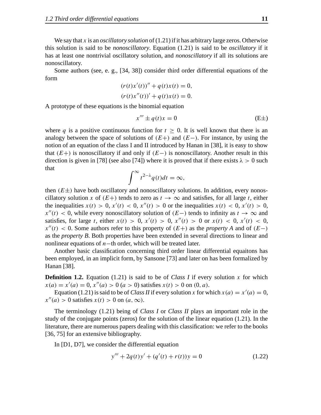We say that  $x$  is an *oscillatory solution* of  $(1.21)$  if it has arbitrary large zeros. Otherwise this solution is said to be *nonoscillatory*. Equation (1.21) is said to be *oscillatory* if it has at least one nontrivial oscillatory solution, and *nonoscillatory* if all its solutions are nonoscillatory.

Some authors (see, e. g., [34, 38]) consider third order differential equations of the form

$$
(r(t)x'(t))'' + q(t)x(t) = 0,
$$
  

$$
(r(t)x''(t))' + q(t)x(t) = 0.
$$

A prototype of these equations is the binomial equation

$$
x''' \pm q(t)x = 0 \tag{E\pm}
$$

where q is a positive continuous function for  $t \geq 0$ . It is well known that there is an analogy between the space of solutions of  $(E+)$  and  $(E-)$ . For instance, by using the notion of an equation of the class I and II introduced by Hanan in [38], it is easy to show that  $(E+)$  is nonoscillatory if and only if  $(E-)$  is nonoscillatory. Another result in this direction is given in [78] (see also [74]) where it is proved that if there exists  $\lambda > 0$  such that

$$
\int^{\infty} t^{2-\lambda} q(t) dt = \infty,
$$

then  $(E\pm)$  have both oscillatory and nonoscillatory solutions. In addition, every nonoscillatory solution x of  $(E+)$  tends to zero as  $t \to \infty$  and satisfies, for all large t, either the inequalities  $x(t) > 0$ ,  $x'(t) < 0$ ,  $x''(t) > 0$  or the inequalities  $x(t) < 0$ ,  $x'(t) > 0$ ,  $x''(t) < 0$ , while every nonoscillatory solution of  $(E-)$  tends to infinity as  $t \to \infty$  and satisfies, for large t, either  $x(t) > 0$ ,  $x'(t) > 0$ ,  $x''(t) > 0$  or  $x(t) < 0$ ,  $x'(t) < 0$ ,  $x''(t)$  < 0. Some authors refer to this property of  $(E+)$  as the *property A* and of  $(E-)$ as the *property B*. Both properties have been extended in several directions to linear and nonlinear equations of n−th order, which will be treated later.

Another basic classification concerning third order linear differential equaitons has been employed, in an implicit form, by Sansone [73] and later on has been formalized by Hanan [38].

**Definition 1.2.** Equation (1.21) is said to be of *Class I* if every solution x for which  $x(a) = x'(a) = 0, x''(a) > 0 (a > 0)$  satisfies  $x(t) > 0$  on  $(0, a)$ .

Equation (1.21) is said to be of *Class II* if every solution x for which  $x(a) = x'(a) = 0$ ,  $x''(a) > 0$  satisfies  $x(t) > 0$  on  $(a, \infty)$ .

The terminology (1.21) being of *Class I* or *Class II* plays an important role in the study of the conjugate points (zeros) for the solution of the linear equation (1.21). In the literature, there are numerous papers dealing with this classification: we refer to the books [36, 75] for an extensive bibliography.

In [D1, D7], we consider the differential equation

$$
y''' + 2q(t)y' + (q'(t) + r(t))y = 0
$$
\n(1.22)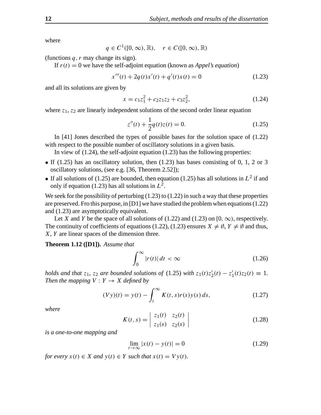where

 $q \in C^1([0,\infty),\mathbb{R}), \quad r \in C([0,\infty),\mathbb{R})$ 

(functions  $q, r$  may change its sign).

If  $r(t) = 0$  we have the self-adjoint equation (known as *Appel's equation*)

$$
x'''(t) + 2q(t)x'(t) + q'(t)x(t) = 0
$$
\n(1.23)

and all its solutions are given by

$$
x = c_1 z_1^2 + c_2 z_1 z_2 + c_3 z_2^2, \tag{1.24}
$$

where  $z_1$ ,  $z_2$  are linearly independent solutions of the second order linear equation

$$
z''(t) + \frac{1}{2}q(t)z(t) = 0.
$$
 (1.25)

In [41] Jones described the types of possible bases for the solution space of (1.22) with respect to the possible number of oscillatory solutions in a given basis.

In view of (1.24), the self-adjoint equation (1.23) has the following properties:

- If (1.25) has an oscillatory solution, then (1.23) has bases consisting of 0, 1, 2 or 3 oscillatory solutions, (see e.g. [36, Theorem 2.52]);
- If all solutions of (1.25) are bounded, then equation (1.25) has all solutions in  $L^2$  if and only if equation (1.23) has all solutions in  $L^2$ .

We seek for the possibility of perturbing  $(1.23)$  to  $(1.22)$  in such a way that these properties are preserved. Fro this purpose, in [D1] we have studied the problem when equations(1.22) and (1.23) are asymptotically equivalent.

Let X and Y be the space of all solutions of (1.22) and (1.23) on [0,  $\infty$ ), respectively. The continuity of coefficients of equations (1.22), (1.23) ensures  $X \neq \emptyset$ ,  $Y \neq \emptyset$  and thus, X, Y are linear spaces of the dimension three.

**Theorem 1.12 ([D1]).** *Assume that*

$$
\int_0^\infty |r(t)| \, dt < \infty \tag{1.26}
$$

*holds* and *that*  $z_1$ ,  $z_2$  are *bounded solutions of* (1.25) *with*  $z_1(t)z_2'(t) - z_1'$  $y'_1(t)z_2(t) \equiv 1.$ *Then the mapping*  $V: Y \rightarrow X$  *defined by* 

$$
(Vy)(t) = y(t) - \int_{t}^{\infty} K(t, s)r(s)y(s) ds,
$$
\n(1.27)

*where*

$$
K(t,s) = \begin{vmatrix} z_1(t) & z_2(t) \\ z_1(s) & z_2(s) \end{vmatrix}
$$
 (1.28)

*is a one-to-one mapping and*

$$
\lim_{t \to \infty} |x(t) - y(t)| = 0
$$
\n(1.29)

*for every*  $x(t) \in X$  *and*  $y(t) \in Y$  *such that*  $x(t) = Vy(t)$ *.*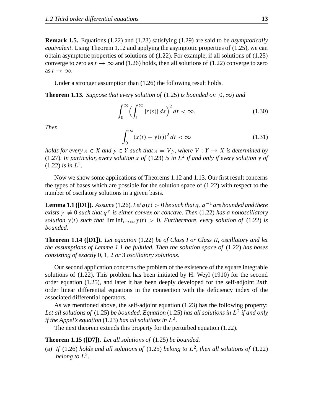**Remark 1.5.** Equations (1.22) and (1.23) satisfying (1.29) are said to be *asymptotically equivalent*. Using Theorem 1.12 and applying the asymptotic properties of (1.25), we can obtain asymptotic properties of solutions of (1.22). For example, if all solutions of (1.25) converge to zero as  $t \to \infty$  and (1.26) holds, then all solutions of (1.22) converge to zero as  $t \to \infty$ .

Under a stronger assumption than (1.26) the following result holds.

**Theorem 1.13.** Suppose that every solution of (1.25) is bounded on [0,  $\infty$ ) and

$$
\int_0^\infty \left(\int_t^\infty |r(s)|\,ds\right)^2 dt < \infty. \tag{1.30}
$$

*Then*

$$
\int_0^\infty (x(t) - y(t))^2 dt < \infty \tag{1.31}
$$

*holds for every*  $x \in X$  *and*  $y \in Y$  *such that*  $x = Vy$ *, where*  $V: Y \to X$  *is determined by* (1.27). In particular, every solution x of (1.23) is in  $L^2$  if and only if every solution y of  $(1.22)$  *is in*  $L^2$ .

Now we show some applications of Theorems 1.12 and 1.13. Our first result concerns the types of bases which are possible for the solution space of (1.22) with respect to the number of oscilatory solutions in a given basis.

**Lemma 1.1 ([D1]).** Assume (1.26). Let  $q(t) > 0$  be such that  $q$  ,  $q^{-1}$  are bounded and there *exists*  $\gamma \neq 0$  *such that*  $q^{\gamma}$  *is either convex or concave. Then* (1.22) *has a nonoscillatory solution*  $y(t)$  *such that*  $\liminf_{t\to\infty} y(t) > 0$ *. Furthermore, every solution of* (1.22) *is bounded.*

**Theorem 1.14 ([D1]).** *Let equation* (1.22) *be of Class I or Class II, oscillatory and let the assumptions of Lemma 1.1 be fulfilled. Then the solution space of* (1.22) *has bases consisting of exactly* 0*,* 1*,* 2 *or* 3 *oscillatory solutions.*

Our second application concerns the problem of the existence of the square integrable solutions of (1.22). This problem has been initiated by H. Weyl (1910) for the second order equation (1.25), and later it has been deeply developed for the self-adjoint 2nth order linear differential equations in the connection with the deficiency index of the associated differential operators.

As we mentioned above, the self-adjoint equation (1.23) has the following property: *Let all solutions of* (1.25) *be bounded. Equation* (1.25) *has all solutions in* L 2 *if and only if the Appel's equation* (1.23) *has all solutions in*  $L^2$ .

The next theorem extends this property for the perturbed equation (1.22).

**Theorem 1.15 ([D7]).** *Let all solutions of* (1.25) *be bounded.*

(a) If (1.26) *holds* and all solutions of (1.25) belong to  $L^2$ , then all solutions of (1.22) *belong to*  $L^2$ .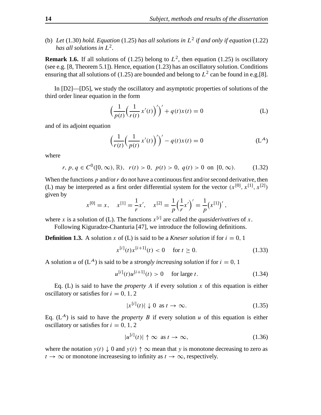(b) Let (1.30) hold. Equation (1.25) has all solutions in  $L^2$  if and only if equation (1.22) *has all solutions in* L 2 *.*

**Remark 1.6.** If all solutions of (1.25) belong to  $L^2$ , then equation (1.25) is oscillatory (see e.g. [8, Theorem 5.1]). Hence, equation (1.23) has an oscillatory solution. Conditions ensuring that all solutions of (1.25) are bounded and belong to  $L^2$  can be found in e.g.[8].

In [D2]—[D5], we study the oscillatory and asymptotic properties of solutions of the third order linear equation in the form

$$
\left(\frac{1}{p(t)}\left(\frac{1}{r(t)}x'(t)\right)'\right)' + q(t)x(t) = 0
$$
\n(L)

and of its adjoint equation

$$
\left(\frac{1}{r(t)}\left(\frac{1}{p(t)}x'(t)\right)'\right)' - q(t)x(t) = 0
$$
\n(L<sup>A</sup>)

where

$$
r, p, q \in C^{0}([0, \infty), \mathbb{R}), \ r(t) > 0, \ p(t) > 0, \ q(t) > 0 \text{ on } [0, \infty). \tag{1.32}
$$

When the functions  $p$  and/or  $r$  do not have a continuous first and/or second derivative, then (L) may be interpreted as a first order differential system for the vector  $(x^{[0]}, x^{[1]}, x^{[2]})$ given by

$$
x^{[0]} = x
$$
,  $x^{[1]} = \frac{1}{r}x'$ ,  $x^{[2]} = \frac{1}{p}(\frac{1}{r}x')' = \frac{1}{p}(x^{[1]})'$ ,

where x is a solution of (L). The functions  $x^{[i]}$  are called the *quasiderivatives* of x.

Following Kiguradze-Chanturia [47], we introduce the following definitions.

**Definition 1.3.** A solution x of (L) is said to be a *Kneser solution* if for  $i = 0, 1$ 

$$
x^{[i]}(t)x^{[i+1]}(t) < 0 \quad \text{for } t \ge 0. \tag{1.33}
$$

A solution u of  $(L^4)$  is said to be a *strongly increasing solution* if for  $i = 0, 1$ 

$$
u^{[i]}(t)u^{[i+1]}(t) > 0 \quad \text{ for large } t. \tag{1.34}
$$

Eq. (L) is said to have the *property*  $A$  if every solution  $x$  of this equation is either oscillatory or satisfies for  $i = 0, 1, 2$ 

$$
|x^{[i]}(t)| \downarrow 0 \text{ as } t \to \infty. \tag{1.35}
$$

Eq.  $(L<sup>A</sup>)$  is said to have the *property* B if every solution u of this equation is either oscillatory or satisfies for  $i = 0, 1, 2$ 

$$
|u^{[i]}(t)| \uparrow \infty \text{ as } t \to \infty,
$$
\n(1.36)

where the notation  $y(t) \downarrow 0$  and  $y(t) \uparrow \infty$  mean that y is monotone decreasing to zero as  $t \to \infty$  or monotone increasesing to infinity as  $t \to \infty$ , respectively.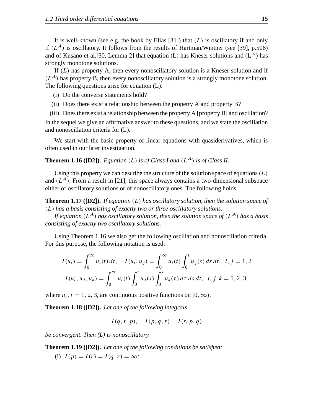It is well-known (see e.g. the book by Elias [31]) that  $(L)$  is oscillatory if and only if  $(L^{\mathcal{A}})$  is oscillatory. It follows from the results of Hartman/Wintner (see [39], p.506) and of Kusano et al. [50, Lemma 2] that equation (L) has Kneser solutions and  $(L^{\mathcal{A}})$  has strongly monotone solutions.

If  $(L)$  has property A, then every nonoscillatory solution is a Kneser solution and if  $(L<sup>A</sup>)$  has property B, then every nonoscillatory solution is a strongly monotone solution. The following questions arise for equation (L):

- (i) Do the converse statements hold?
- (ii) Does there exist a relationship between the property A and property B?
- (iii) Doesthere exist a relationship between the property A [property B] and oscillation?

In the sequel we give an affirmative answer to these questions, and we state the oscillation and nonoscillation criteria for (L).

We start with the basic property of linear equations with quasiderivatives, which is often used in our later investigation.

**Theorem 1.16** ([D2]). *Equation* (*L*) *is of Class I and* ( $L^A$ ) *is of Class II.* 

Using this property we can describe the structure of the solution space of equations  $(L)$ and  $(L^A)$ . From a result in [21], this space always contains a two-dimensional subspace either of oscillatory solutions or of nonoscillatory ones. The following holds:

**Theorem 1.17 ([D2]).** *If equation* (L) *has oscillatory solution, then the solution space of* (L) *has a basis consisting of exactly two or three oscillatory solutions.*

*If* equation  $(L^{\mathcal{A}})$  *has oscillatory solution, then the solution space of*  $(L^{\mathcal{A}})$  *has a basis consisting of exactly two oscillatory solutions.*

Using Theorem 1.16 we also get the following oscillation and nonoscillation criteria. For this purpose, the following notation is used:

$$
I(u_i) = \int_0^\infty u_i(t) dt, \quad I(u_i, u_j) = \int_0^\infty u_i(t) \int_0^t u_j(s) ds dt, \quad i, j = 1, 2
$$
  

$$
I(u_i, u_j, u_k) = \int_0^\infty u_i(t) \int_0^t u_j(s) \int_0^s u_k(\tau) d\tau ds dt, \quad i, j, k = 1, 2, 3,
$$

where  $u_i$ ,  $i = 1, 2, 3$ , are continuous positive functions on [0,  $\infty$ ).

**Theorem 1.18 ([D2]).** *Let one of the following integrals*

 $I(q, r, p), \quad I(p, q, r) \quad I(r, p, q)$ 

*be convergent. Then (L) is nonoscillatory.*

**Theorem 1.19 ([D2]).** *Let one of the following conditions be satisfied:*

(i)  $I(p) = I(r) = I(q, r) = \infty$ ;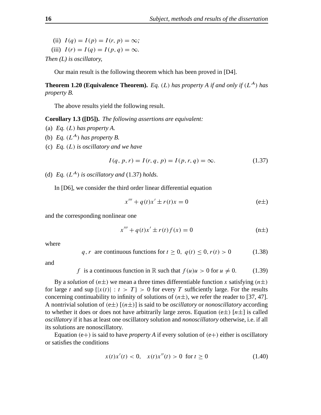- (ii)  $I(q) = I(p) = I(r, p) = \infty$ ;
- (iii)  $I(r) = I(q) = I(p, q) = \infty$ .

*Then (L) is oscillatory,*

Our main result is the following theorem which has been proved in [D4].

**Theorem 1.20 (Equivalence Theorem).** *Eq.* (*L*) *has property A if and only if* (*L*<sup>-*A*</sup>) *has property B.*

The above results yield the following result.

**Corollary 1.3 ([D5]).** *The following assertions are equivalent:*

- (a) *Eq.* (L) *has property A.*
- (b) *Eq.*  $(L^A)$  *has property B.*
- (c) *Eq.* (L) *is oscillatory and we have*

$$
I(q, p, r) = I(r, q, p) = I(p, r, q) = \infty.
$$
 (1.37)

(d) *Eq.*  $(L^A)$  *is oscillatory and* (1.37) *holds.* 

In [D6], we consider the third order linear differential equation

$$
x''' + q(t)x' \pm r(t)x = 0
$$
 (e±)

and the corresponding nonlinear one

$$
x''' + q(t)x' \pm r(t)f(x) = 0
$$
 (n±)

where

$$
q, r \text{ are continuous functions for } t \ge 0, \ q(t) \le 0, r(t) > 0 \tag{1.38}
$$

and

f is a continuous function in R such that  $f(u)u > 0$  for  $u \neq 0$ . (1.39)

By a *solution* of  $(n\pm)$  we mean a three times differentiable function x satisfying  $(n\pm)$ for large t and sup  $\{|x(t)| : t > T\} > 0$  for every T sufficiently large. For the results concerning continuability to infinity of solutions of  $(n\pm)$ , we refer the reader to [37, 47]. A nontrivial solution of  $(e\pm)$   $[(n\pm)]$  is said to be *oscillatory* or *nonoscillatory* according to whether it does or does not have arbitrarily large zeros. Equation (e $\pm$ ) [ $n\pm$ ] is called *oscillatory* if it has at least one oscillatory solution and *nonoscillatory* otherwise, i.e. if all its solutions are nonoscillatory.

Equation  $(e+)$  is said to have *property* A if every solution of  $(e+)$  either is oscillatory or satisfies the conditions

$$
x(t)x'(t) < 0, \quad x(t)x''(t) > 0 \quad \text{for } t \ge 0 \tag{1.40}
$$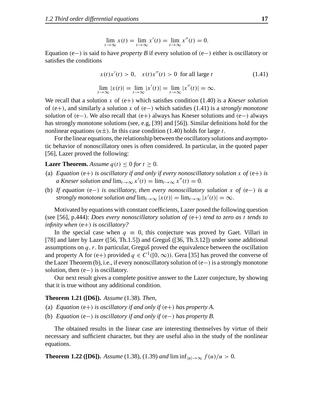$$
\lim_{t \to \infty} x(t) = \lim_{t \to \infty} x'(t) = \lim_{t \to \infty} x''(t) = 0.
$$

Equation (e−) is said to have *property B* if every solution of (e−) either is oscillatory or satisfies the conditions

$$
x(t)x'(t) > 0, \quad x(t)x''(t) > 0 \text{ for all large } t
$$
  
\n
$$
\lim_{t \to \infty} |x(t)| = \lim_{t \to \infty} |x'(t)| = \lim_{t \to \infty} |x''(t)| = \infty.
$$
\n(1.41)

We recall that a solution x of  $(e+)$  which satisfies condition  $(1.40)$  is a *Kneser solution* of (e+), and similarly a solution x of (e−) which satisfies (1.41) is a *strongly monotone solution* of (e−). We also recall that (e+) always has Kneser solutions and (e−) always has strongly monotone solutions (see, e.g, [39] and [56]). Similar definitions hold for the nonlinear equations  $(n\pm)$ . In this case condition (1.40) holds for large t.

Forthe linear equations, the relationship between the oscillatory solutions and asymptotic behavior of nonoscillatory ones is often considered. In particular, in the quoted paper [56], Lazer proved the following:

### **Lazer Theorem.** *Assume*  $q(t) \leq 0$  *for*  $t \geq 0$ *.*

- (a) *Equation* (e+) *is oscillatory if and only if every nonoscillatory solution* x of (e+) *is a Kneser solution and*  $\lim_{t\to\infty} x'(t) = \lim_{t\to\infty} x''(t) = 0$ .
- (b) *If equation* (e−) *is oscillatory, then every nonoscillatory solution* x *of* (e−) *is a strongly monotone solution and*  $\lim_{t\to\infty} |x(t)| = \lim_{t\to\infty} |x'(t)| = \infty$ .

Motivated by equations with constant coefficients, Lazer posed the following question (see [56], p.444): *Does every nonoscillatory solution of* (e+) *tend to zero as* t *tends to infinity when* (e+) *is oscillatory?*

In the special case when  $q \equiv 0$ , this conjecture was proved by Gaet. Villari in [78] and later by Lazer  $([56, Th.1.5])$  and Greguš $([36, Th.3.12])$  under some additional assumptions on  $q, r$ . In particular, Gregus̆ proved the equivalence between the oscillation and property A for (e+) provided  $q \in C^1([0,\infty))$ . Gera [35] has proved the converse of the Lazer Theorem (b), i.e., if every nonoscillatory solution of(e−) is a strongly monotone solution, then  $(e-)$  is oscillatory.

Our next result gives a complete positive answer to the Lazer conjecture, by showing that it is true without any additional condition.

### **Theorem 1.21 ([D6]).** *Assume* (1.38)*. Then,*

- (a) *Equation* (e+) *is oscillatory if and only if* (e+) *has property*  $A$ .
- (b) *Equation* (e−) *is oscillatory if and only if* (e−) *has property B.*

The obtained results in the linear case are interesting themselves by virtue of their necessary and sufficient character, but they are useful also in the study of the nonlinear equations.

**Theorem 1.22 ([D6]).** *Assume* (1.38)*,* (1.39*) and*  $\liminf_{|u| \to \infty} f(u)/u > 0$ *.*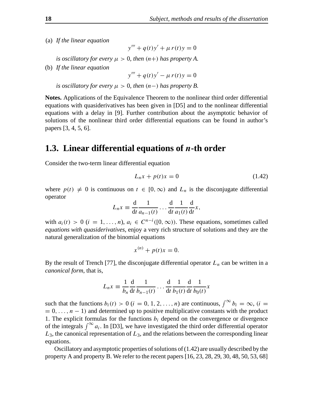(a) *If the linear equation*

$$
y''' + q(t)y' + \mu r(t)y = 0
$$

*is oscillatory for every*  $\mu > 0$ *, then*  $(n+)$  *has property A*.

(b) *If the linear equation*

 $y''' + q(t)y' - \mu r(t)y = 0$ 

*is oscillatory for every*  $\mu > 0$ *, then*  $(n-)$  *has property B.* 

**Notes.** Applications of the Equivalence Theorem to the nonlinear third order differential equations with quasiderivatives has been given in [D5] and to the nonlinear differential equations with a delay in [9]. Further contribution about the asymptotic behavior of solutions of the nonlinear third order differential equations can be found in author's papers [3, 4, 5, 6].

## **1.3. Linear differential equations of** n**-th order**

Consider the two-term linear differential equation

$$
L_n x + p(t)x = 0 \tag{1.42}
$$

where  $p(t) \neq 0$  is continuous on  $t \in [0, \infty)$  and  $L_n$  is the disconjugate differential operator

$$
L_n x \equiv \frac{d}{dt} \frac{1}{a_{n-1}(t)} \dots \frac{d}{dt} \frac{1}{a_1(t)} \frac{d}{dt} x,
$$

with  $a_i(t) > 0$   $(i = 1, ..., n)$ ,  $a_i \in C^{n-i}([0, \infty))$ . These equations, sometimes called *equations with quasiderivatives*, enjoy a very rich structure of solutions and they are the natural generalization of the binomial equations

$$
x^{(n)} + p(t)x = 0.
$$

By the result of Trench [77], the disconjugate differential operator  $L_n$  can be written in a *canonical form*, that is,

$$
L_n x \equiv \frac{1}{b_n} \frac{d}{dt} \frac{1}{b_{n-1}(t)} \dots \frac{d}{dt} \frac{1}{b_1(t)} \frac{d}{dt} \frac{1}{b_0(t)} x
$$

such that the functions  $b_i(t) > 0$  ( $i = 0, 1, 2, ..., n$ ) are continuous,  $\int_{0}^{\infty} b_i = \infty$ , ( $i =$  $= 0, \ldots, n - 1$ ) and determined up to positive multiplicative constants with the product 1. The explicit formulas for the functions  $b_i$  depend on the convergence or divergence of the integrals  $\int_0^\infty a_i$ . In [D3], we have investigated the third order differential operator  $L_3$ , the canonical representation of  $L_3$ , and the relations between the corresponding linear equations.

Oscillatory and asymptotic properties of solutions of  $(1.42)$  are usually described by the property A and property B. We refer to the recent papers [16, 23, 28, 29, 30, 48, 50, 53, 68]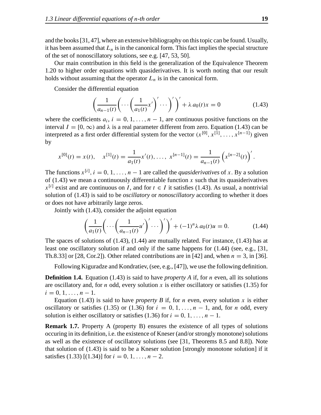and the books[31, 47], where an extensive bibliography on thistopic can be found. Usually, it has been assumed that  $L_n$  is in the canonical form. This fact implies the special structure of the set of nonoscillatory solutions, see e.g. [47, 53, 50].

Our main contribution in this field is the generalization of the Equivalence Theorem 1.20 to higher order equations with quasiderivatives. It is worth noting that our result holds without assuming that the operator  $L_n$  is in the canonical form.

Consider the differential equation

$$
\left(\frac{1}{a_{n-1}(t)}\left(\cdots\left(\frac{1}{a_1(t)}x'\right)'\cdots\right)'\right)' + \lambda a_0(t)x = 0
$$
\n(1.43)

where the coefficients  $a_i$ ,  $i = 0, 1, ..., n - 1$ , are continuous positive functions on the interval  $I = [0, \infty)$  and  $\lambda$  is a real parameter different from zero. Equation (1.43) can be interpreted as a first order differential system for the vector  $(x^{[0]}, x^{[1]}, \ldots, x^{[n-1]})$  given by

$$
x^{[0]}(t) = x(t), \quad x^{[1]}(t) = \frac{1}{a_1(t)}x'(t), \ldots, \ x^{[n-1]}(t) = \frac{1}{a_{n-1}(t)}\left(x^{[n-2]}(t)\right)'.
$$

The functions  $x^{[i]}$ ,  $i = 0, 1, ..., n-1$  are called the *quasiderivatives* of x. By a solution of (1.43) we mean a continuously differentiable function x such that its quasiderivatives  $x^{[i]}$  exist and are continuous on *I*, and for  $t \in I$  it satisfies (1.43). As usual, a nontrivial solution of (1.43) is said to be *oscillatory* or *nonoscillatory* according to whether it does or does not have arbitrarily large zeros.

Jointly with (1.43), consider the adjoint equation

$$
\left(\frac{1}{a_1(t)}\left(\cdots\left(\frac{1}{a_{n-1}(t)}u'\right)'\cdots\right)'\right)' + (-1)^n \lambda a_0(t)u = 0.
$$
\n(1.44)

The spaces of solutions of (1.43), (1.44) are mutually related. For instance, (1.43) has at least one oscillatory solution if and only if the same happens for (1.44) (see, e.g., [31, Th.8.33] or [28, Cor.2]). Other related contributions are in [42] and, when  $n = 3$ , in [36].

Following Kiguradze and Kondratiev, (see, e.g., [47]), we use the following definition.

**Definition 1.4.** Equation (1.43) is said to have *property A* if, for n even, all its solutions are oscillatory and, for *n* odd, every solution x is either oscillatory or satisfies (1.35) for  $i = 0, 1, \ldots, n - 1.$ 

Equation (1.43) is said to have *property B* if, for *n* even, every solution x is either oscillatory or satisfies (1.35) or (1.36) for  $i = 0, 1, \ldots, n - 1$ , and, for n odd, every solution is either oscillatory or satisfies (1.36) for  $i = 0, 1, ..., n - 1$ .

**Remark 1.7.** Property A (property B) ensures the existence of all types of solutions occuring in its definition, i.e. the existence of Kneser (and/or strongly monotone) solutions as well as the existence of oscillatory solutions (see [31, Theorems 8.5 and 8.8]). Note that solution of  $(1.43)$  is said to be a Kneser solution [strongly monotone solution] if it satisfies (1.33) [(1.34)] for  $i = 0, 1, ..., n - 2$ .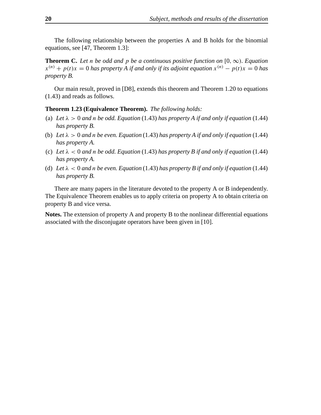The following relationship between the properties A and B holds for the binomial equations, see [47, Theorem 1.3]:

**Theorem C.** Let n be odd and p be a continuous positive function on  $[0, \infty)$ . Equation  $x^{(n)} + p(t)x = 0$  has property A if and only if its adjoint equation  $x^{(n)} - p(t)x = 0$  has *property B.*

Our main result, proved in [D8], extends this theorem and Theorem 1.20 to equations (1.43) and reads as follows.

## **Theorem 1.23 (Equivalence Theorem).** *The following holds:*

- (a) Let  $\lambda > 0$  and *n* be odd. Equation (1.43) has property A if and only if equation (1.44) *has property B.*
- (b) Let  $\lambda > 0$  and *n* be even. Equation (1.43) has property A if and only if equation (1.44) *has property A.*
- (c) Let  $\lambda < 0$  and *n* be odd. Equation (1.43) has property B if and only if equation (1.44) *has property A.*
- (d) Let  $\lambda < 0$  and *n* be even. Equation (1.43) has property B if and only if equation (1.44) *has property B.*

There are many papers in the literature devoted to the property A or B independently. The Equivalence Theorem enables us to apply criteria on property A to obtain criteria on property B and vice versa.

**Notes.** The extension of property A and property B to the nonlinear differential equations associated with the disconjugate operators have been given in [10].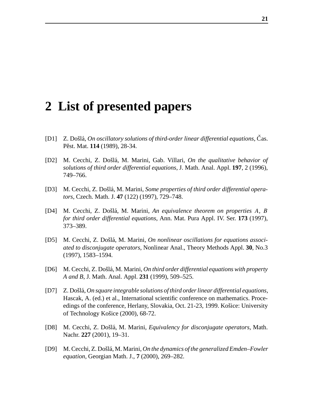## **2 List of presented papers**

- [D1] Z. Došlá, *On oscillatory solutions of third-order linear differential equations*, Čas. Pěst. Mat. 114 (1989), 28-34.
- [D2] M. Cecchi, Z. Došlá, M. Marini, Gab. Villari, *On the qualitative behavior of solutions of third order differential equations*, J. Math. Anal. Appl. **197**, 2 (1996), 749–766.
- [D3] M. Cecchi, Z. Došlá, M. Marini, *Some properties of third order differential operators*, Czech. Math. J. **47** (122) (1997), 729–748.
- [D4] M. Cecchi, Z. Dosˇla´, M. Marini, *An equivalence theorem on properties* A*,* B *for third order differential equations*, Ann. Mat. Pura Appl. IV. Ser. **173** (1997), 373–389.
- [D5] M. Cecchi, Z. Došlá, M. Marini, *On nonlinear oscillations for equations associated to disconjugate operators*, Nonlinear Anal., Theory Methods Appl. **30**, No.3 (1997), 1583–1594.
- [D6] M. Cecchi, Z. Dosˇla´, M. Marini, *On third order differential equations with property A and B*, J. Math. Anal. Appl. **231** (1999), 509–525.
- [D7] Z. Dosˇla´, *On square integrable solutions of third orderlinear differential equations*, Hascak, A. (ed.) et al., International scientific conference on mathematics. Proceedings of the conference, Herlany, Slovakia, Oct. 21-23, 1999. Košice: University of Technology Košice (2000), 68-72.
- [D8] M. Cecchi, Z. Došlá, M. Marini, *Equivalency for disconjugate operators*, Math. Nachr. **227** (2001), 19–31.
- [D9] M. Cecchi, Z. Došlá, M. Marini, *On the dynamics of the generalized Emden–Fowler equation*, Georgian Math. J., **7** (2000), 269–282.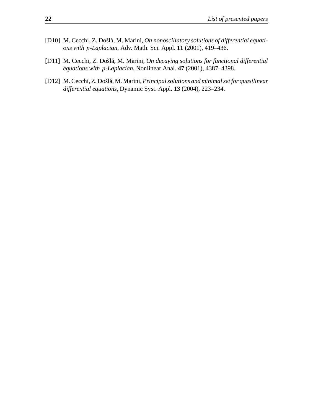- [D10] M. Cecchi, Z. Došlá, M. Marini, *On nonoscillatory solutions of differential equations with* p*-Laplacian*, Adv. Math. Sci. Appl. **11** (2001), 419–436.
- [D11] M. Cecchi, Z. Dosˇla´, M. Marini, *On decaying solutions for functional differential equations with* p*-Laplacian*, Nonlinear Anal. **47** (2001), 4387–4398.
- [D12] M. Cecchi, Z. Došlá, M. Marini, *Principal solutions and minimal set for quasilinear differential equations*, Dynamic Syst. Appl. **13** (2004), 223–234.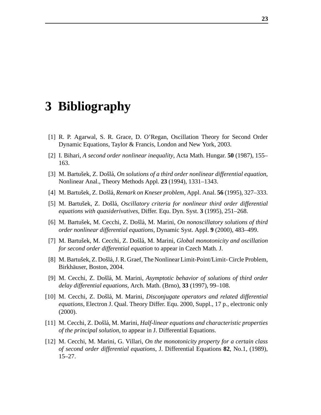## **3 Bibliography**

- [1] R. P. Agarwal, S. R. Grace, D. O'Regan, Oscillation Theory for Second Order Dynamic Equations, Taylor & Francis, London and New York, 2003.
- [2] I. Bihari, *A second order nonlinear inequality*, Acta Math. Hungar. **50** (1987), 155– 163.
- [3] M. Bartusˇek, Z. Dosˇla´, *On solutions of a third order nonlinear differential equation*, Nonlinear Anal., Theory Methods Appl. **23** (1994), 1331–1343.
- [4] M. Bartusˇek, Z. Dosˇla´, *Remark on Kneser problem*, Appl. Anal. **56** (1995), 327–333.
- [5] M. Bartusˇek, Z. Dosˇla´, *Oscillatory criteria for nonlinear third order differential equations with quasiderivatives*, Differ. Equ. Dyn. Syst. **3** (1995), 251–268.
- [6] M. Bartušek, M. Cecchi, Z. Došlá, M. Marini, *On nonoscillatory solutions of third order nonlinear differential equations*, Dynamic Syst. Appl. **9** (2000), 483–499.
- [7] M. Bartušek, M. Cecchi, Z. Došlá, M. Marini, *Global monotonicity and oscillation for second order differential equation* to appear in Czech Math. J.
- [8] M. Bartušek, Z. Došlá, J. R. Graef, The Nonlinear Limit-Point/Limit-Circle Problem, Birkhäuser, Boston, 2004.
- [9] M. Cecchi, Z. Dosˇla´, M. Marini, *Asymptotic behavior of solutions of third order delay differential equations*, Arch. Math. (Brno), **33** (1997), 99–108.
- [10] M. Cecchi, Z. Dosˇla´, M. Marini, *Disconjugate operators and related differential equations*, Electron J. Qual. Theory Differ. Equ. 2000, Suppl., 17 p., electronic only (2000).
- [11] M. Cecchi, Z. Dosˇla´, M. Marini, *Half-linear equations and characteristic properties of the principal solution*, to appear in J. Differential Equations.
- [12] M. Cecchi, M. Marini, G. Villari, *On the monotonicity property for a certain class of second order differential equations*, J. Differential Equations **82**, No.1, (1989), 15–27.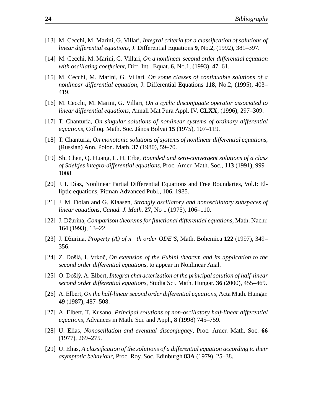- [13] M. Cecchi, M. Marini, G. Villari, *Integral criteria for a classification of solutions of linear differential equations*, J. Differential Equations **9**, No.2, (1992), 381–397.
- [14] M. Cecchi, M. Marini, G. Villari, *On a nonlinear second order differential equation with oscillating coefficient*, Diff. Int. Equat. **6**, No.1, (1993), 47–61.
- [15] M. Cecchi, M. Marini, G. Villari, *On some classes of continuable solutions of a nonlinear differential equation*, J. Differential Equations **118**, No.2, (1995), 403– 419.
- [16] M. Cecchi, M. Marini, G. Villari, *On a cyclic disconjugate operator associated to linear differential equations*, Annali Mat Pura Appl. IV, **CLXX**, (1996), 297–309.
- [17] T. Chanturia, *On singular solutions of nonlinear systems of ordinary differential equations*, Colloq. Math. Soc. Ja´nos Bolyai **15** (1975), 107–119.
- [18] T. Chanturia, *On monotonic solutions of systems of nonlinear differential equations*, (Russian) Ann. Polon. Math. **37** (1980), 59–70.
- [19] Sh. Chen, Q. Huang, L. H. Erbe, *Bounded and zero-convergent solutions of a class of Stieltjes integro-differential equations*, Proc. Amer. Math. Soc., **113** (1991), 999– 1008.
- [20] J. I. Díaz, Nonlinear Partial Differential Equations and Free Boundaries, Vol.I: Elliptic equations, Pitman Advanced Publ., 106, 1985.
- [21] J. M. Dolan and G. Klaasen, *Strongly oscillatory and nonoscillatory subspaces of linear equations*, *Canad. J. Math.* **27**, No 1 (1975), 106–110.
- [22] J. Džurina, *Comparison theorems for functional differential equations*, Math. Nachr. **164** (1993), 13–22.
- [23] J. Džurina, *Property (A) of n−th order ODE*'S, Math. Bohemica 122 (1997), 349– 356.
- [24] Z. Dosˇla´, I. Vrkocˇ, *On extension of the Fubini theorem and its application to the second order differential equations*, to appear in Nonlinear Anal.
- [25] O. Dosˇly´, A. Elbert, *Integral characterization of the principal solution of half-linear second order differential equations*, Studia Sci. Math. Hungar. **36** (2000), 455–469.
- [26] A. Elbert, *On the half-linearsecond order differential equations*, Acta Math. Hungar. **49** (1987), 487–508.
- [27] A. Elbert, T. Kusano, *Principal solutions of non-oscillatory half-linear differential equations*, Advances in Math. Sci. and Appl., **8** (1998) 745–759.
- [28] U. Elias, *Nonoscillation and eventual disconjugacy*, Proc. Amer. Math. Soc. **66** (1977), 269–275.
- [29] U. Elias, *A classification of the solutions of a differential equation according to their asymptotic behaviour*, Proc. Roy. Soc. Edinburgh **83A** (1979), 25–38.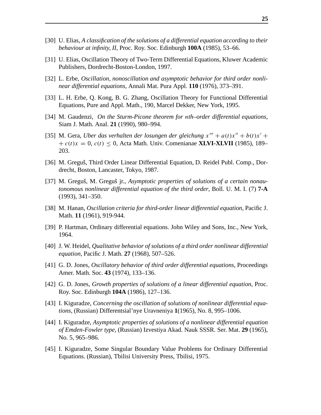- [30] U. Elias, *A classification of the solutions of a differential equation according to their behaviour at infinity, II*, Proc. Roy. Soc. Edinburgh **100A** (1985), 53–66.
- [31] U. Elias, Oscillation Theory of Two-Term Differential Equations, Kluwer Academic Publishers, Dordrecht-Boston-London, 1997.
- [32] L. Erbe, *Oscillation, nonoscillation and asymptotic behavior for third order nonlinear differential equations*, Annali Mat. Pura Appl. **110** (1976), 373–391.
- [33] L. H. Erbe, Q. Kong, B. G. Zhang, Oscillation Theory for Functional Differential Equations, Pure and Appl. Math., 190, Marcel Dekker, New York, 1995.
- [34] M. Gaudenzi, *On the Sturm-Picone theorem for* n*th–order differential equations*, Siam J. Math. Anal. **21** (1990), 980–994.
- [35] M. Gera, *Uber das verhalten der losungen der gleichung*  $x''' + a(t)x'' + b(t)x' + b(t)x'$  $+ c(t)x = 0$ ,  $c(t) \leq 0$ , Acta Math. Univ. Comenianae **XLVI-XLVII** (1985), 189– 203.
- [36] M. Greguš, Third Order Linear Differential Equation, D. Reidel Publ. Comp., Dordrecht, Boston, Lancaster, Tokyo, 1987.
- [37] M. Greguš, M. Greguš jr., *Asymptotic properties of solutions of a certain nonautonomous nonlinear differential equation of the third order*, Boll. U. M. I. (7) **7-A** (1993), 341–350.
- [38] M. Hanan, *Oscillation criteria for third-order linear differential equation*, Pacific J. Math. **11** (1961), 919-944.
- [39] P. Hartman, Ordinary differential equations. John Wiley and Sons, Inc., New York, 1964.
- [40] J. W. Heidel, *Qualitative behavior of solutions of a third order nonlinear differential equation*, Pacific J. Math. **27** (1968), 507–526.
- [41] G. D. Jones, *Oscillatory behavior of third order differential equations*, Proceedings Amer. Math. Soc. **43** (1974), 133–136.
- [42] G. D. Jones, *Growth properties of solutions of a linear differential equation*, Proc. Roy. Soc. Edinburgh **104A** (1986), 127–136.
- [43] I. Kiguradze, *Concerning the oscillation of solutions of nonlinear differential equations*, (Russian) Differentsial'nye Uravneniya **1**(1965), No. 8, 995–1006.
- [44] I. Kiguradze, *Asymptotic properties of solutions of a nonlinear differential equation of Emden-Fowler type*, (Russian) Izvestiya Akad. Nauk SSSR. Ser. Mat. **29** (1965), No. 5, 965–986.
- [45] I. Kiguradze, Some Singular Boundary Value Problems for Ordinary Differential Equations. (Russian), Tbilisi University Press, Tbilisi, 1975.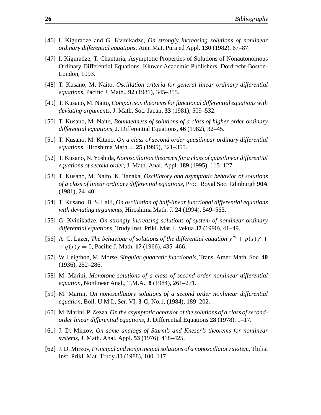- [46] I. Kiguradze and G. Kvinikadze, *On strongly increasing solutions of nonlinear ordinary differential equations*, Ann. Mat. Pura ed Appl. **130** (1982), 67–87.
- [47] I. Kiguradze, T. Chanturia, Asymptotic Properties of Solutions of Nonautonomous Ordinary Differential Equations. Kluwer Academic Publishers, Dordrecht-Boston-London, 1993.
- [48] T. Kusano, M. Naito, *Oscillation criteria for general linear ordinary differential equations*, Pacific J. Math., **92** (1981), 345–355.
- [49] T. Kusano, M. Naito, *Comparison theoremsforfunctional differential equations with deviating arguments*, J. Math. Soc. Japan, **33** (1981), 509–532.
- [50] T. Kusano, M. Naito, *Boundedness of solutions of a class of higher order ordinary differential equations*, J. Differential Equations, **46** (1982), 32–45.
- [51] T. Kusano, M. Kitano, *On a class of second order quasilinear ordinary differential equations*, Hiroshima Math. J. **25** (1995), 321–355.
- [52] T. Kusano, N. Yoshida,*Nonoscillation theoremsfor a class of quasilinear differential equations of second order*, J. Math. Anal. Appl. **189** (1995), 115–127.
- [53] T. Kusano, M. Naito, K. Tanaka, *Oscillatory and asymptotic behavior of solutions of a class of linear ordinary differential equations*, Proc. Royal Soc. Edinburgh **90A** (1981), 24–40.
- [54] T. Kusano, B. S. Lalli, *On oscillation of half-linear functional differential equations with deviating arguments*, Hiroshima Math. J. **24** (1994), 549–563.
- [55] G. Kvinikadze, *On strongly increasing solutions of system of nonlinear ordinary differential equations*, Trudy Inst. Prikl. Mat. I. Vekua **37** (1990), 41–49.
- [56] A. C. Lazer, *The behaviour of solutions of the differential equation*  $y''' + p(x)y' +$  $+ q(x)y = 0$ , Pacific J. Math. **17** (1966), 435–466.
- [57] W. Leigthon, M. Morse, *Singular quadratic functionals,* Trans. Amer. Math. Soc. **40** (1936), 252–286.
- [58] M. Marini, *Monotone solutions of a class of second order nonlinear differential equation*, Nonlinear Anal., T.M.A., **8** (1984), 261–271.
- [59] M. Marini, *On nonoscillatory solutions of a second order nonlinear differential equation*, Boll. U.M.I., Ser. VI, **3-C**, No.1, (1984), 189–202.
- [60] M. Marini, P. Zezza, *On the asymptotic behavior of the solutions of a class ofsecondorder linear differential equations*, J. Differential Equations **28** (1978), 1–17.
- [61] J. D. Mirzov, *On some analogs of Sturm's and Kneser's theorems for nonlinear systems*, J. Math. Anal. Appl. **53** (1976), 418–425.
- [62] J. D. Mirzov, *Principal and nonprincipalsolutions of a nonoscillatory system*, Tbilisi Inst. Prikl. Mat. Trudy **31** (1988), 100–117.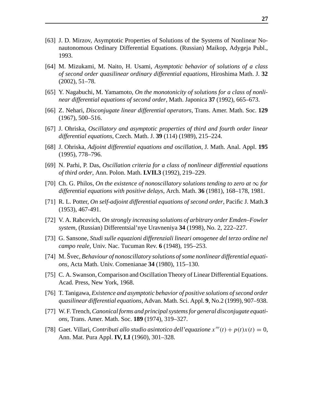- [63] J. D. Mirzov, Asymptotic Properties of Solutions of the Systems of Nonlinear Nonautonomous Ordinary Differential Equations. (Russian) Maikop, Adygeja Publ., 1993.
- [64] M. Mizukami, M. Naito, H. Usami, *Asymptotic behavior of solutions of a class of second order quasilinear ordinary differential equations*, Hiroshima Math. J. **32** (2002), 51–78.
- [65] Y. Nagabuchi, M. Yamamoto, *On the monotonicity of solutions for a class of nonlinear differential equations of second order*, Math. Japonica **37** (1992), 665–673.
- [66] Z. Nehari, *Disconjugate linear differential operators*, Trans. Amer. Math. Soc. **129** (1967), 500–516.
- [67] J. Ohriska, *Oscillatory and asymptotic properties of third and fourth order linear differential equations*, Czech. Math. J. **39** (114) (1989), 215–224.
- [68] J. Ohriska, *Adjoint differential equations and oscillation*, J. Math. Anal. Appl. **195** (1995), 778–796.
- [69] N. Parhi, P. Das, *Oscillation criteria for a class of nonlinear differential equations of third order*, Ann. Polon. Math. **LVII.3** (1992), 219–229.
- [70] Ch. G. Philos, *On the existence of nonoscillatory solutions tending to zero at*  $\infty$  *for differential equations with positive delays*, Arch. Math. **36** (1981), 168–178, 1981.
- [71] R. L. Potter, *On self-adjoint differential equations of second order*, Pacific J. Math.**3** (1953), 467-491.
- [72] V. A. Rabcevich, *On strongly increasing solutions of arbitrary order Emden–Fowler system*, (Russian) Differentsial'nye Uravneniya **34** (1998), No. 2, 222–227.
- [73] G. Sansone, *Studi sulle equazioni differenziali lineari omogenee del terzo ordine nel campo reale*, Univ. Nac. Tucuman Rev. **6** (1948), 195–253.
- [74] M. Švec, *Behaviour of nonoscillatory solutions of some nonlinear differential equations*, Acta Math. Univ. Comenianae **34** (1980), 115–130.
- [75] C. A. Swanson, Comparison and OscillationTheory of Linear Differential Equations. Acad. Press, New York, 1968.
- [76] T. Tanigawa, *Existence and asymptotic behavior of positive solutions ofsecond order quasilinear differential equations*, Advan. Math. Sci. Appl. **9**, No.2 (1999), 907–938.
- [77] W. F.Trench,*Canonical forms and principalsystemsfor general disconjugate equations*, Trans. Amer. Math. Soc. **189** (1974), 319–327.
- [78] Gaet. Villari, *Contributi allo studio asintotico dell'equazione*  $x'''(t) + p(t)x(t) = 0$ , Ann. Mat. Pura Appl. **IV, LI** (1960), 301–328.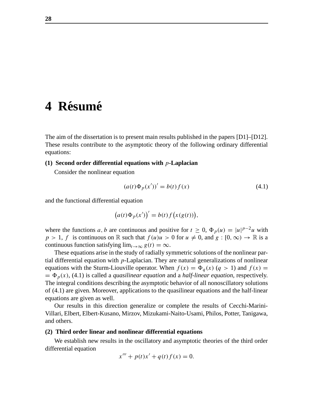## 4 **Résumé**

The aim of the dissertation is to present main results published in the papers [D1]–[D12]. These results contribute to the asymptotic theory of the following ordinary differential equations:

#### **(1) Second order differential equations with** p**-Laplacian**

Consider the nonlinear equation

$$
(a(t)\Phi_p(x'))' = b(t)f(x)
$$
\n(4.1)

and the functional differential equation

$$
(a(t)\Phi_p(x'))' = b(t)f(x(g(t))),
$$

where the functions a, b are continuous and positive for  $t \geq 0$ ,  $\Phi_p(u) = |u|^{p-2}u$  with  $p > 1$ , f is continuous on R such that  $f(u)u > 0$  for  $u \neq 0$ , and  $g : [0, \infty) \to \mathbb{R}$  is a continuous function satisfying  $\lim_{t\to\infty} g(t) = \infty$ .

These equations arise in the study of radially symmetric solutions of the nonlinear partial differential equation with  $p$ -Laplacian. They are natural generalizations of nonlinear equations with the Sturm-Liouville operator. When  $f(x) = \Phi_q(x)$  ( $q > 1$ ) and  $f(x) =$  $= \Phi_p(x)$ , (4.1) is called a *quasilinear equation* and a *half-linear equation*, respectively. The integral conditions describing the asymptotic behavior of all nonoscillatory solutions of (4.1) are given. Moreover, applications to the quasilinear equations and the half-linear equations are given as well.

Our results in this direction generalize or complete the results of Cecchi-Marini-Villari, Elbert, Elbert-Kusano, Mirzov, Mizukami-Naito-Usami, Philos, Potter, Tanigawa, and others.

### **(2) Third order linear and nonlinear differential equations**

We establish new results in the oscillatory and asymptotic theories of the third order differential equation

$$
x''' + p(t)x' + q(t)f(x) = 0.
$$